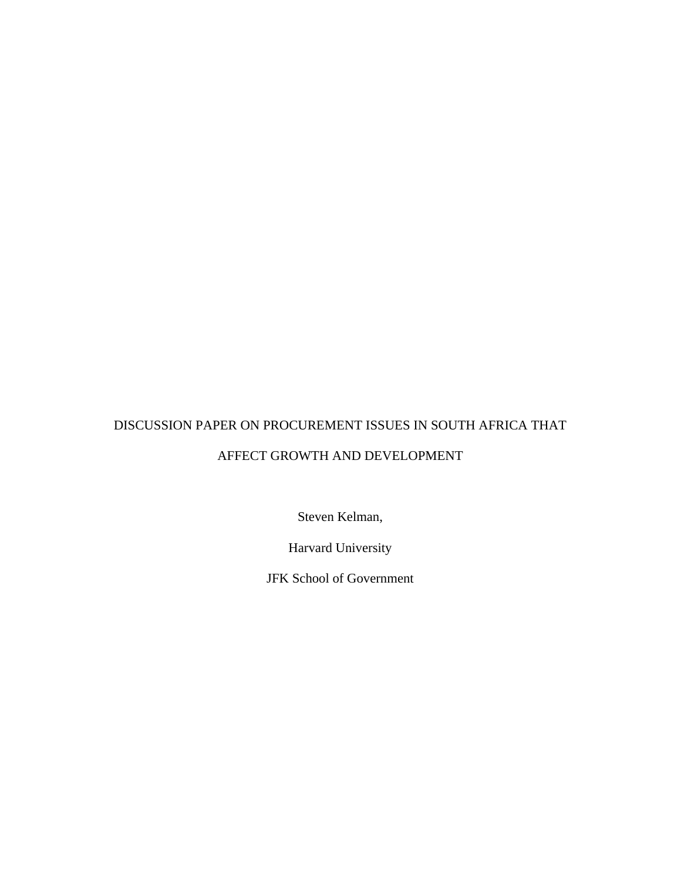# DISCUSSION PAPER ON PROCUREMENT ISSUES IN SOUTH AFRICA THAT AFFECT GROWTH AND DEVELOPMENT

Steven Kelman,

Harvard University

JFK School of Government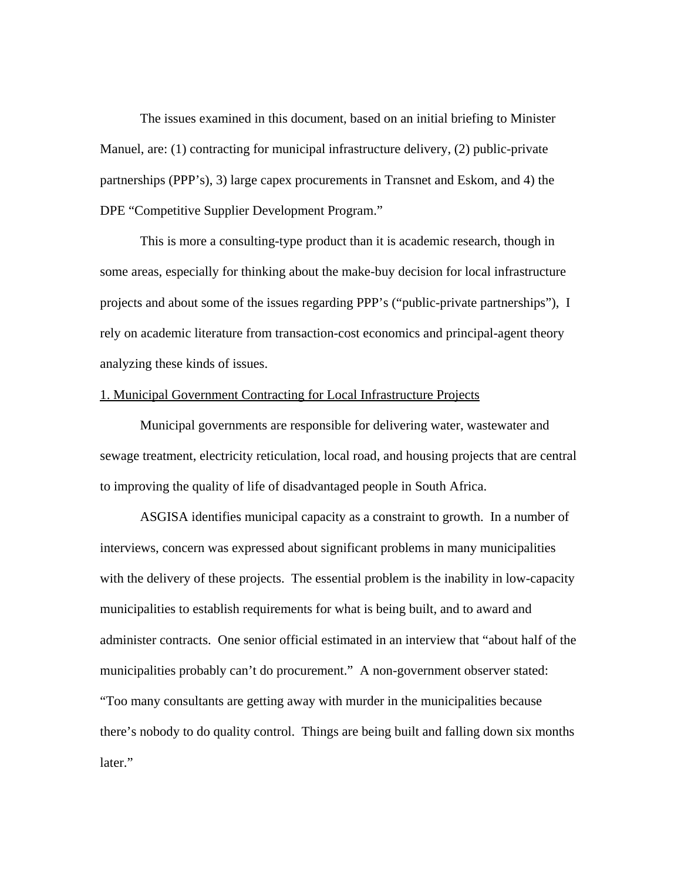The issues examined in this document, based on an initial briefing to Minister Manuel, are: (1) contracting for municipal infrastructure delivery, (2) public-private partnerships (PPP's), 3) large capex procurements in Transnet and Eskom, and 4) the DPE "Competitive Supplier Development Program."

This is more a consulting-type product than it is academic research, though in some areas, especially for thinking about the make-buy decision for local infrastructure projects and about some of the issues regarding PPP's ("public-private partnerships"), I rely on academic literature from transaction-cost economics and principal-agent theory analyzing these kinds of issues.

## 1. Municipal Government Contracting for Local Infrastructure Projects

Municipal governments are responsible for delivering water, wastewater and sewage treatment, electricity reticulation, local road, and housing projects that are central to improving the quality of life of disadvantaged people in South Africa.

ASGISA identifies municipal capacity as a constraint to growth. In a number of interviews, concern was expressed about significant problems in many municipalities with the delivery of these projects. The essential problem is the inability in low-capacity municipalities to establish requirements for what is being built, and to award and administer contracts. One senior official estimated in an interview that "about half of the municipalities probably can't do procurement." A non-government observer stated: "Too many consultants are getting away with murder in the municipalities because there's nobody to do quality control. Things are being built and falling down six months later."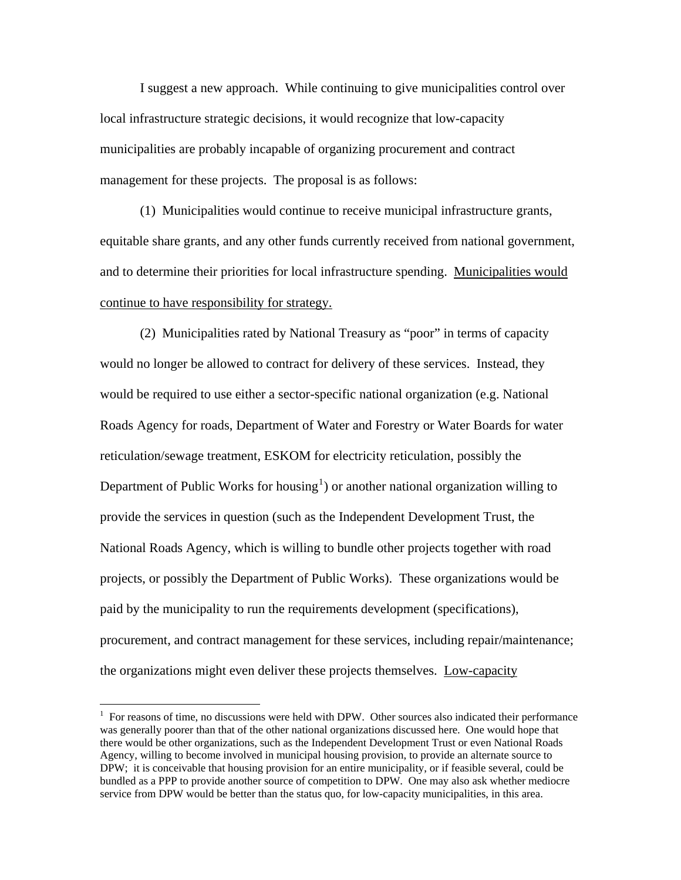I suggest a new approach. While continuing to give municipalities control over local infrastructure strategic decisions, it would recognize that low-capacity municipalities are probably incapable of organizing procurement and contract management for these projects. The proposal is as follows:

 (1) Municipalities would continue to receive municipal infrastructure grants, equitable share grants, and any other funds currently received from national government, and to determine their priorities for local infrastructure spending. Municipalities would continue to have responsibility for strategy.

(2) Municipalities rated by National Treasury as "poor" in terms of capacity would no longer be allowed to contract for delivery of these services. Instead, they would be required to use either a sector-specific national organization (e.g. National Roads Agency for roads, Department of Water and Forestry or Water Boards for water reticulation/sewage treatment, ESKOM for electricity reticulation, possibly the Department of Public Works for housing<sup>[1](#page-2-0)</sup>) or another national organization willing to provide the services in question (such as the Independent Development Trust, the National Roads Agency, which is willing to bundle other projects together with road projects, or possibly the Department of Public Works). These organizations would be paid by the municipality to run the requirements development (specifications), procurement, and contract management for these services, including repair/maintenance; the organizations might even deliver these projects themselves. Low-capacity

<span id="page-2-0"></span> $1$  For reasons of time, no discussions were held with DPW. Other sources also indicated their performance was generally poorer than that of the other national organizations discussed here. One would hope that there would be other organizations, such as the Independent Development Trust or even National Roads Agency, willing to become involved in municipal housing provision, to provide an alternate source to DPW; it is conceivable that housing provision for an entire municipality, or if feasible several, could be bundled as a PPP to provide another source of competition to DPW. One may also ask whether mediocre service from DPW would be better than the status quo, for low-capacity municipalities, in this area.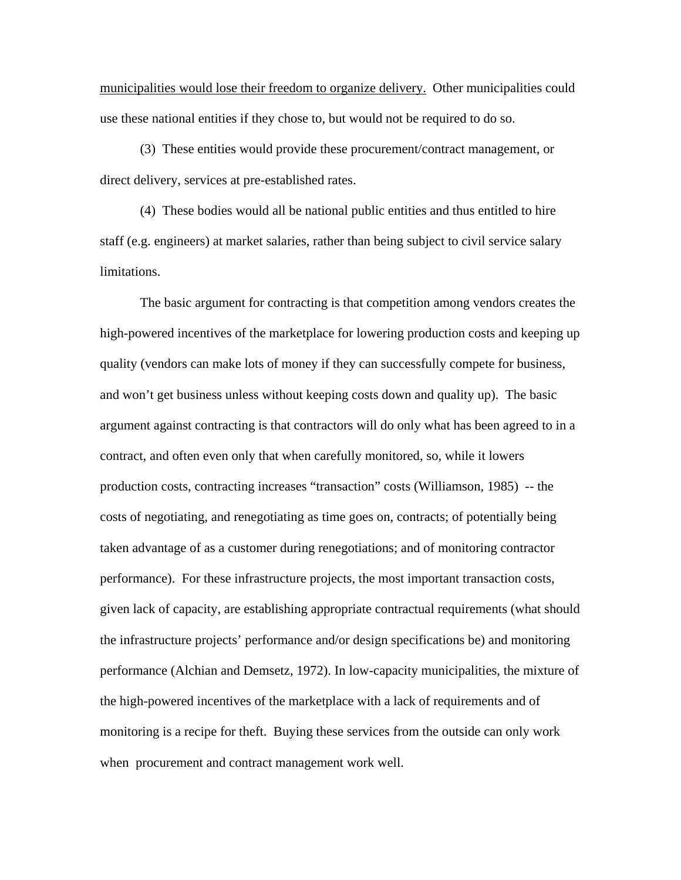municipalities would lose their freedom to organize delivery. Other municipalities could use these national entities if they chose to, but would not be required to do so.

(3) These entities would provide these procurement/contract management, or direct delivery, services at pre-established rates.

(4) These bodies would all be national public entities and thus entitled to hire staff (e.g. engineers) at market salaries, rather than being subject to civil service salary limitations.

The basic argument for contracting is that competition among vendors creates the high-powered incentives of the marketplace for lowering production costs and keeping up quality (vendors can make lots of money if they can successfully compete for business, and won't get business unless without keeping costs down and quality up). The basic argument against contracting is that contractors will do only what has been agreed to in a contract, and often even only that when carefully monitored, so, while it lowers production costs, contracting increases "transaction" costs (Williamson, 1985) -- the costs of negotiating, and renegotiating as time goes on, contracts; of potentially being taken advantage of as a customer during renegotiations; and of monitoring contractor performance). For these infrastructure projects, the most important transaction costs, given lack of capacity, are establishing appropriate contractual requirements (what should the infrastructure projects' performance and/or design specifications be) and monitoring performance (Alchian and Demsetz, 1972). In low-capacity municipalities, the mixture of the high-powered incentives of the marketplace with a lack of requirements and of monitoring is a recipe for theft. Buying these services from the outside can only work when procurement and contract management work well.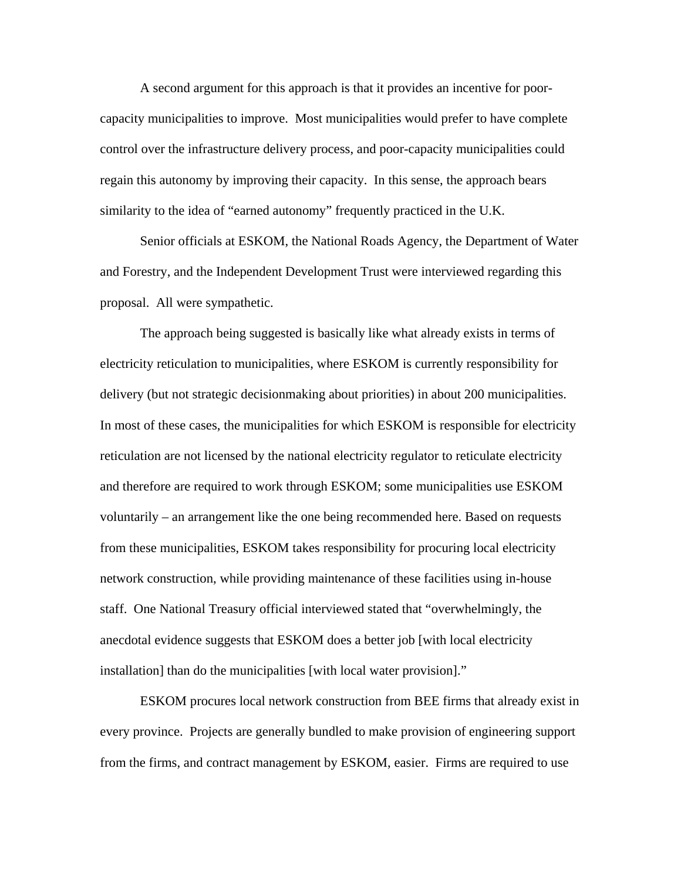A second argument for this approach is that it provides an incentive for poorcapacity municipalities to improve. Most municipalities would prefer to have complete control over the infrastructure delivery process, and poor-capacity municipalities could regain this autonomy by improving their capacity. In this sense, the approach bears similarity to the idea of "earned autonomy" frequently practiced in the U.K.

 Senior officials at ESKOM, the National Roads Agency, the Department of Water and Forestry, and the Independent Development Trust were interviewed regarding this proposal. All were sympathetic.

 The approach being suggested is basically like what already exists in terms of electricity reticulation to municipalities, where ESKOM is currently responsibility for delivery (but not strategic decisionmaking about priorities) in about 200 municipalities. In most of these cases, the municipalities for which ESKOM is responsible for electricity reticulation are not licensed by the national electricity regulator to reticulate electricity and therefore are required to work through ESKOM; some municipalities use ESKOM voluntarily – an arrangement like the one being recommended here. Based on requests from these municipalities, ESKOM takes responsibility for procuring local electricity network construction, while providing maintenance of these facilities using in-house staff. One National Treasury official interviewed stated that "overwhelmingly, the anecdotal evidence suggests that ESKOM does a better job [with local electricity installation] than do the municipalities [with local water provision]."

 ESKOM procures local network construction from BEE firms that already exist in every province. Projects are generally bundled to make provision of engineering support from the firms, and contract management by ESKOM, easier. Firms are required to use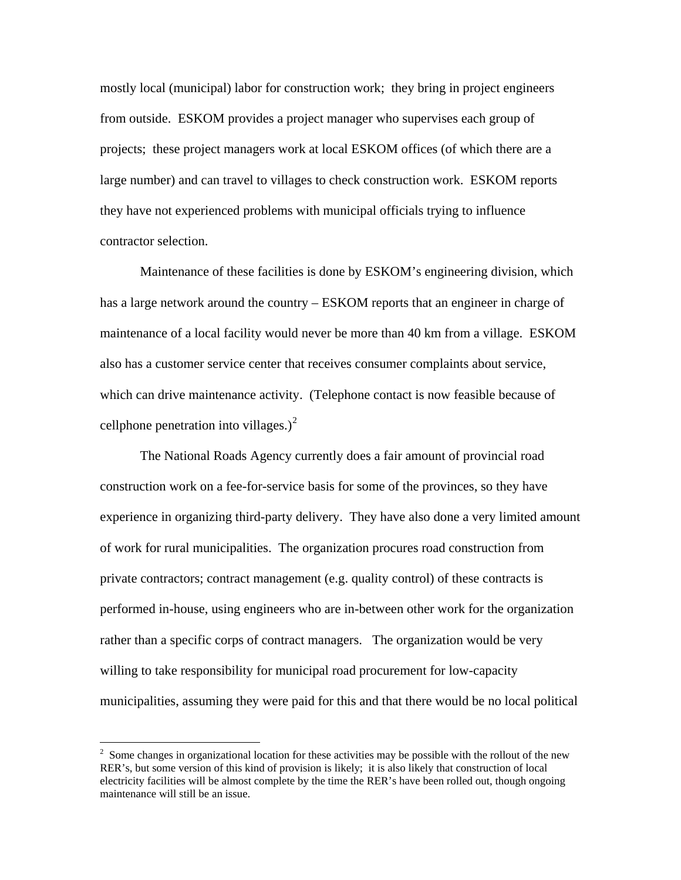mostly local (municipal) labor for construction work; they bring in project engineers from outside. ESKOM provides a project manager who supervises each group of projects; these project managers work at local ESKOM offices (of which there are a large number) and can travel to villages to check construction work. ESKOM reports they have not experienced problems with municipal officials trying to influence contractor selection.

 Maintenance of these facilities is done by ESKOM's engineering division, which has a large network around the country – ESKOM reports that an engineer in charge of maintenance of a local facility would never be more than 40 km from a village. ESKOM also has a customer service center that receives consumer complaints about service, which can drive maintenance activity. (Telephone contact is now feasible because of cellphone penetration into villages.) $2$ 

The National Roads Agency currently does a fair amount of provincial road construction work on a fee-for-service basis for some of the provinces, so they have experience in organizing third-party delivery. They have also done a very limited amount of work for rural municipalities. The organization procures road construction from private contractors; contract management (e.g. quality control) of these contracts is performed in-house, using engineers who are in-between other work for the organization rather than a specific corps of contract managers. The organization would be very willing to take responsibility for municipal road procurement for low-capacity municipalities, assuming they were paid for this and that there would be no local political

<span id="page-5-0"></span><sup>&</sup>lt;sup>2</sup> Some changes in organizational location for these activities may be possible with the rollout of the new RER's, but some version of this kind of provision is likely; it is also likely that construction of local electricity facilities will be almost complete by the time the RER's have been rolled out, though ongoing maintenance will still be an issue.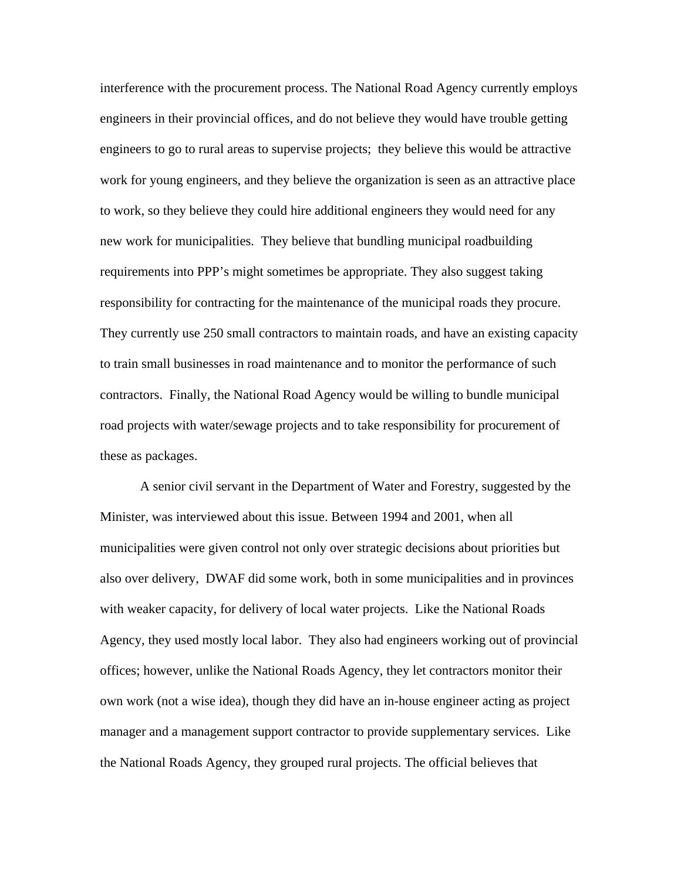interference with the procurement process. The National Road Agency currently employs engineers in their provincial offices, and do not believe they would have trouble getting engineers to go to rural areas to supervise projects; they believe this would be attractive work for young engineers, and they believe the organization is seen as an attractive place to work, so they believe they could hire additional engineers they would need for any new work for municipalities. They believe that bundling municipal roadbuilding requirements into PPP's might sometimes be appropriate. They also suggest taking responsibility for contracting for the maintenance of the municipal roads they procure. They currently use 250 small contractors to maintain roads, and have an existing capacity to train small businesses in road maintenance and to monitor the performance of such contractors. Finally, the National Road Agency would be willing to bundle municipal road projects with water/sewage projects and to take responsibility for procurement of these as packages.

A senior civil servant in the Department of Water and Forestry, suggested by the Minister, was interviewed about this issue. Between 1994 and 2001, when all municipalities were given control not only over strategic decisions about priorities but also over delivery, DWAF did some work, both in some municipalities and in provinces with weaker capacity, for delivery of local water projects. Like the National Roads Agency, they used mostly local labor. They also had engineers working out of provincial offices; however, unlike the National Roads Agency, they let contractors monitor their own work (not a wise idea), though they did have an in-house engineer acting as project manager and a management support contractor to provide supplementary services. Like the National Roads Agency, they grouped rural projects. The official believes that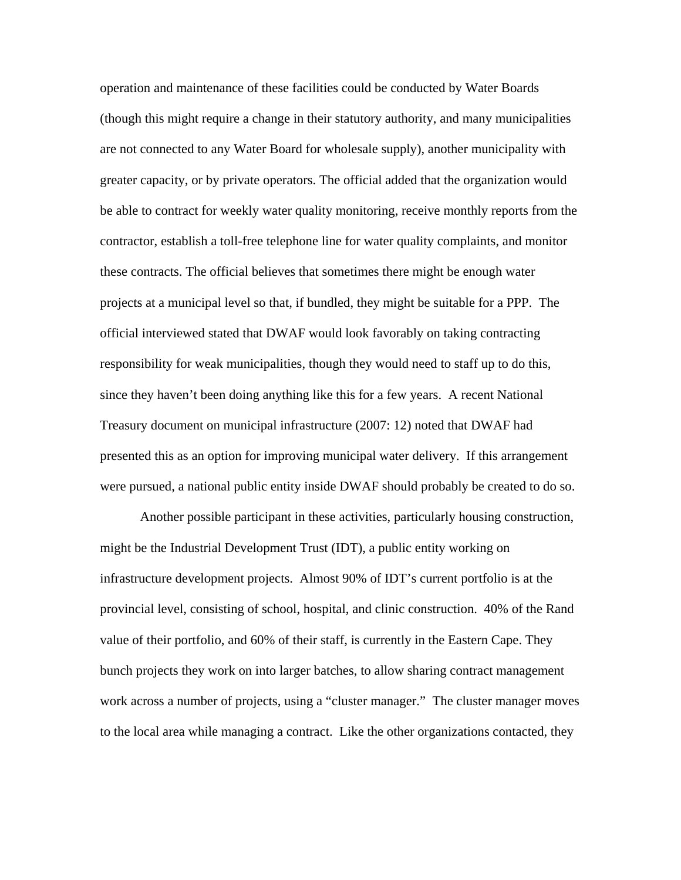operation and maintenance of these facilities could be conducted by Water Boards (though this might require a change in their statutory authority, and many municipalities are not connected to any Water Board for wholesale supply), another municipality with greater capacity, or by private operators. The official added that the organization would be able to contract for weekly water quality monitoring, receive monthly reports from the contractor, establish a toll-free telephone line for water quality complaints, and monitor these contracts. The official believes that sometimes there might be enough water projects at a municipal level so that, if bundled, they might be suitable for a PPP. The official interviewed stated that DWAF would look favorably on taking contracting responsibility for weak municipalities, though they would need to staff up to do this, since they haven't been doing anything like this for a few years. A recent National Treasury document on municipal infrastructure (2007: 12) noted that DWAF had presented this as an option for improving municipal water delivery. If this arrangement were pursued, a national public entity inside DWAF should probably be created to do so.

Another possible participant in these activities, particularly housing construction, might be the Industrial Development Trust (IDT), a public entity working on infrastructure development projects. Almost 90% of IDT's current portfolio is at the provincial level, consisting of school, hospital, and clinic construction. 40% of the Rand value of their portfolio, and 60% of their staff, is currently in the Eastern Cape. They bunch projects they work on into larger batches, to allow sharing contract management work across a number of projects, using a "cluster manager." The cluster manager moves to the local area while managing a contract. Like the other organizations contacted, they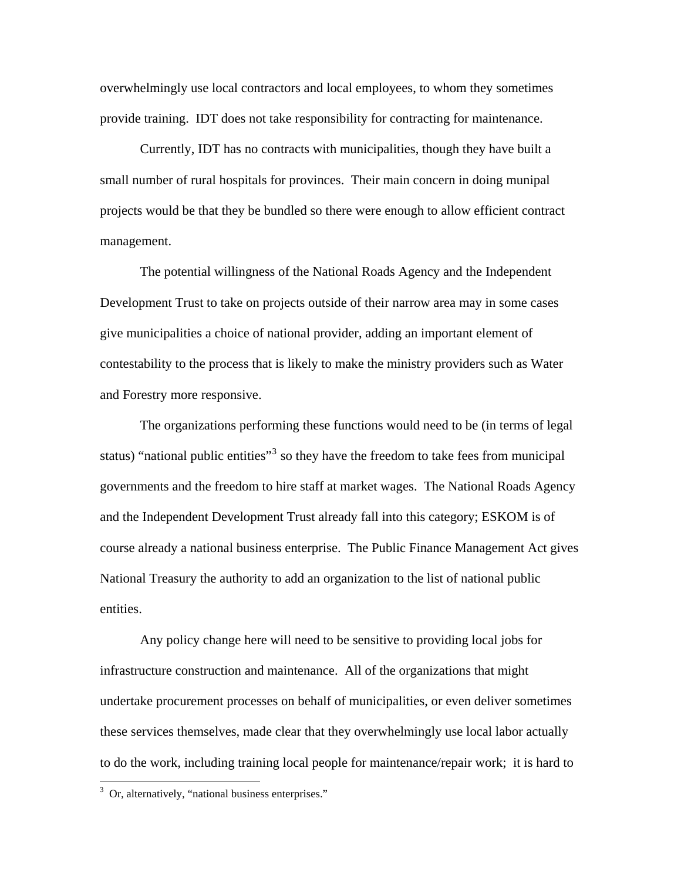overwhelmingly use local contractors and local employees, to whom they sometimes provide training. IDT does not take responsibility for contracting for maintenance.

Currently, IDT has no contracts with municipalities, though they have built a small number of rural hospitals for provinces. Their main concern in doing munipal projects would be that they be bundled so there were enough to allow efficient contract management.

The potential willingness of the National Roads Agency and the Independent Development Trust to take on projects outside of their narrow area may in some cases give municipalities a choice of national provider, adding an important element of contestability to the process that is likely to make the ministry providers such as Water and Forestry more responsive.

 The organizations performing these functions would need to be (in terms of legal status) "national public entities"<sup>[3](#page-8-0)</sup> so they have the freedom to take fees from municipal governments and the freedom to hire staff at market wages. The National Roads Agency and the Independent Development Trust already fall into this category; ESKOM is of course already a national business enterprise. The Public Finance Management Act gives National Treasury the authority to add an organization to the list of national public entities.

 Any policy change here will need to be sensitive to providing local jobs for infrastructure construction and maintenance. All of the organizations that might undertake procurement processes on behalf of municipalities, or even deliver sometimes these services themselves, made clear that they overwhelmingly use local labor actually to do the work, including training local people for maintenance/repair work; it is hard to

<span id="page-8-0"></span><sup>&</sup>lt;sup>3</sup> Or, alternatively, "national business enterprises."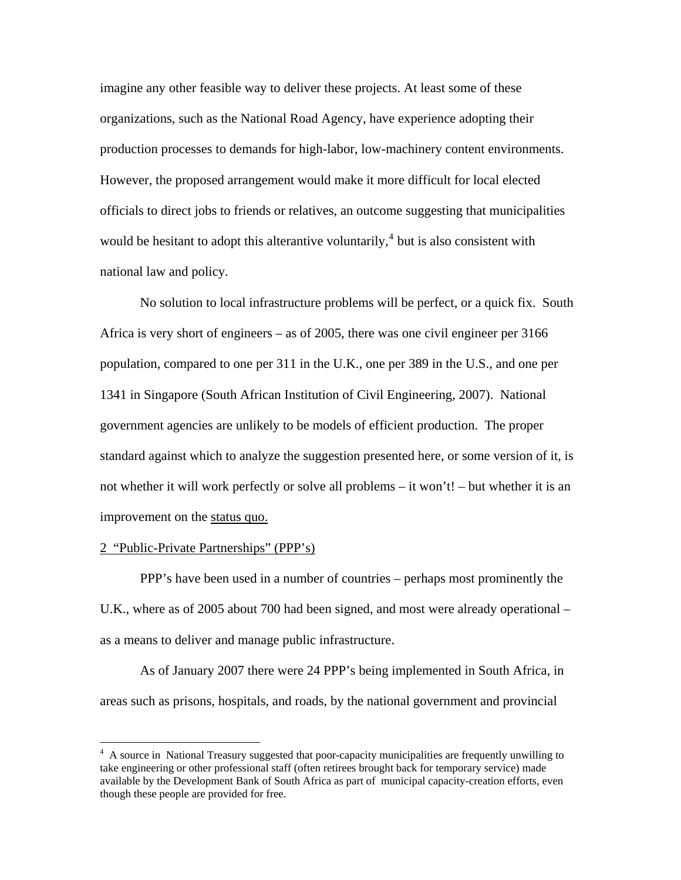imagine any other feasible way to deliver these projects. At least some of these organizations, such as the National Road Agency, have experience adopting their production processes to demands for high-labor, low-machinery content environments. However, the proposed arrangement would make it more difficult for local elected officials to direct jobs to friends or relatives, an outcome suggesting that municipalities would be hesitant to adopt this alterantive voluntarily,  $4$  but is also consistent with national law and policy.

No solution to local infrastructure problems will be perfect, or a quick fix. South Africa is very short of engineers – as of 2005, there was one civil engineer per 3166 population, compared to one per 311 in the U.K., one per 389 in the U.S., and one per 1341 in Singapore (South African Institution of Civil Engineering, 2007). National government agencies are unlikely to be models of efficient production. The proper standard against which to analyze the suggestion presented here, or some version of it, is not whether it will work perfectly or solve all problems – it won't! – but whether it is an improvement on the status quo.

### 2 "Public-Private Partnerships" (PPP's)

 $\overline{a}$ 

PPP's have been used in a number of countries – perhaps most prominently the U.K., where as of 2005 about 700 had been signed, and most were already operational – as a means to deliver and manage public infrastructure.

As of January 2007 there were 24 PPP's being implemented in South Africa, in areas such as prisons, hospitals, and roads, by the national government and provincial

<span id="page-9-0"></span><sup>&</sup>lt;sup>4</sup> A source in National Treasury suggested that poor-capacity municipalities are frequently unwilling to take engineering or other professional staff (often retirees brought back for temporary service) made available by the Development Bank of South Africa as part of municipal capacity-creation efforts, even though these people are provided for free.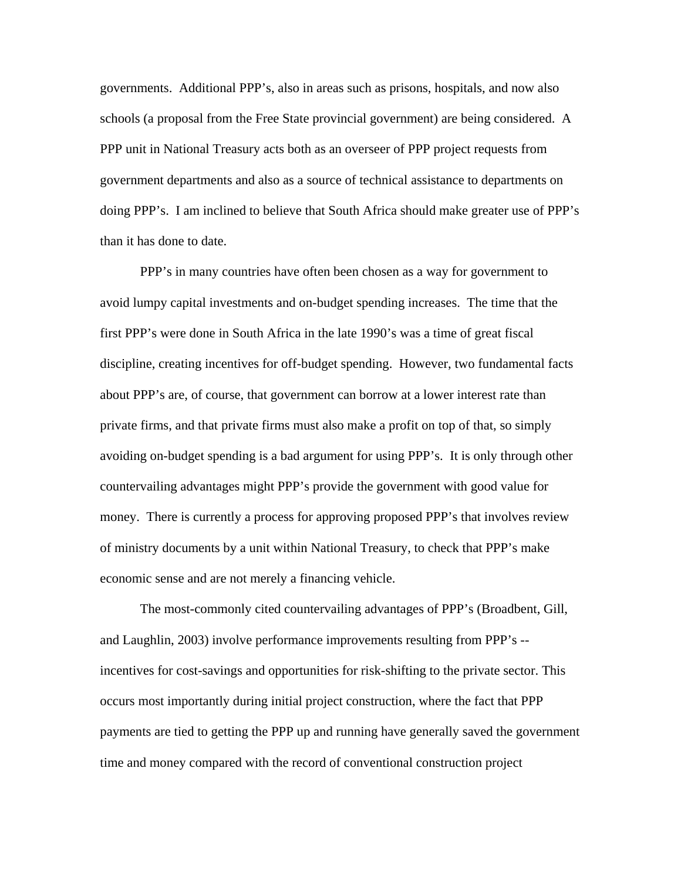governments. Additional PPP's, also in areas such as prisons, hospitals, and now also schools (a proposal from the Free State provincial government) are being considered. A PPP unit in National Treasury acts both as an overseer of PPP project requests from government departments and also as a source of technical assistance to departments on doing PPP's. I am inclined to believe that South Africa should make greater use of PPP's than it has done to date.

PPP's in many countries have often been chosen as a way for government to avoid lumpy capital investments and on-budget spending increases. The time that the first PPP's were done in South Africa in the late 1990's was a time of great fiscal discipline, creating incentives for off-budget spending. However, two fundamental facts about PPP's are, of course, that government can borrow at a lower interest rate than private firms, and that private firms must also make a profit on top of that, so simply avoiding on-budget spending is a bad argument for using PPP's. It is only through other countervailing advantages might PPP's provide the government with good value for money. There is currently a process for approving proposed PPP's that involves review of ministry documents by a unit within National Treasury, to check that PPP's make economic sense and are not merely a financing vehicle.

The most-commonly cited countervailing advantages of PPP's (Broadbent, Gill, and Laughlin, 2003) involve performance improvements resulting from PPP's - incentives for cost-savings and opportunities for risk-shifting to the private sector. This occurs most importantly during initial project construction, where the fact that PPP payments are tied to getting the PPP up and running have generally saved the government time and money compared with the record of conventional construction project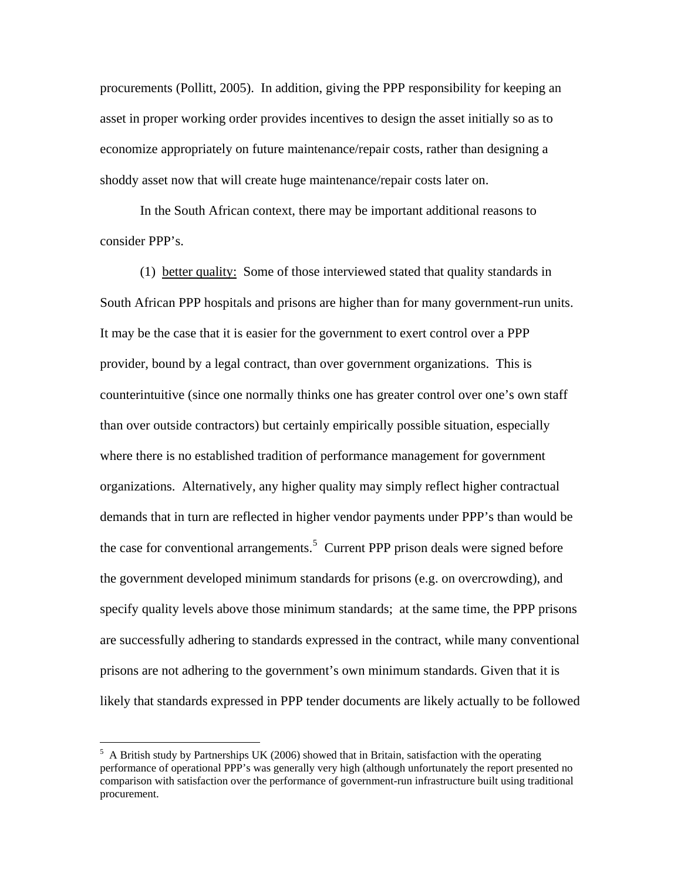procurements (Pollitt, 2005). In addition, giving the PPP responsibility for keeping an asset in proper working order provides incentives to design the asset initially so as to economize appropriately on future maintenance/repair costs, rather than designing a shoddy asset now that will create huge maintenance/repair costs later on.

In the South African context, there may be important additional reasons to consider PPP's.

(1) better quality: Some of those interviewed stated that quality standards in South African PPP hospitals and prisons are higher than for many government-run units. It may be the case that it is easier for the government to exert control over a PPP provider, bound by a legal contract, than over government organizations. This is counterintuitive (since one normally thinks one has greater control over one's own staff than over outside contractors) but certainly empirically possible situation, especially where there is no established tradition of performance management for government organizations. Alternatively, any higher quality may simply reflect higher contractual demands that in turn are reflected in higher vendor payments under PPP's than would be the case for conventional arrangements.<sup>[5](#page-11-0)</sup> Current PPP prison deals were signed before the government developed minimum standards for prisons (e.g. on overcrowding), and specify quality levels above those minimum standards; at the same time, the PPP prisons are successfully adhering to standards expressed in the contract, while many conventional prisons are not adhering to the government's own minimum standards. Given that it is likely that standards expressed in PPP tender documents are likely actually to be followed

<span id="page-11-0"></span><sup>&</sup>lt;sup>5</sup> A British study by Partnerships UK (2006) showed that in Britain, satisfaction with the operating performance of operational PPP's was generally very high (although unfortunately the report presented no comparison with satisfaction over the performance of government-run infrastructure built using traditional procurement.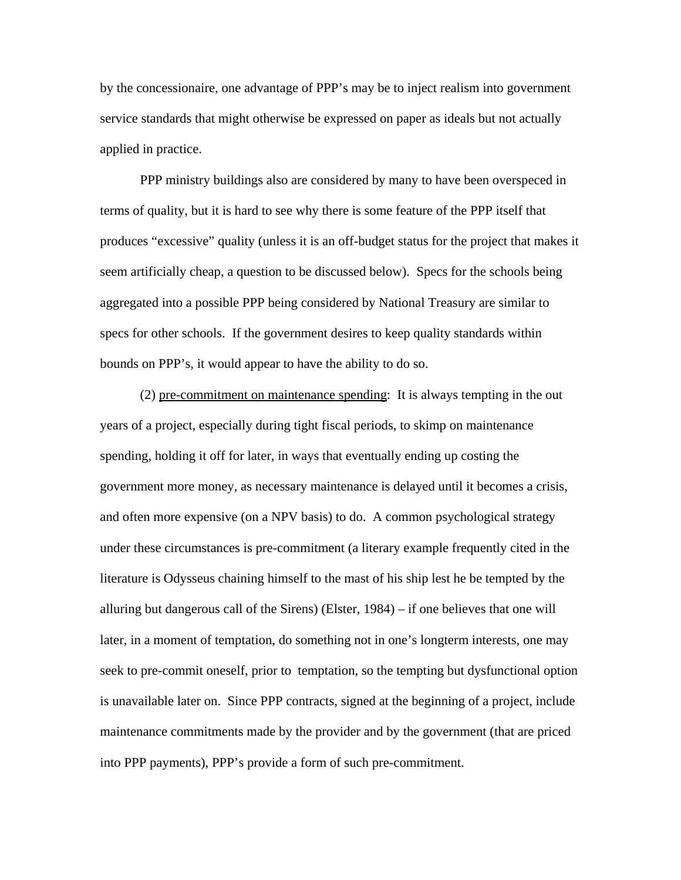by the concessionaire, one advantage of PPP's may be to inject realism into government service standards that might otherwise be expressed on paper as ideals but not actually applied in practice.

PPP ministry buildings also are considered by many to have been overspeced in terms of quality, but it is hard to see why there is some feature of the PPP itself that produces "excessive" quality (unless it is an off-budget status for the project that makes it seem artificially cheap, a question to be discussed below). Specs for the schools being aggregated into a possible PPP being considered by National Treasury are similar to specs for other schools. If the government desires to keep quality standards within bounds on PPP's, it would appear to have the ability to do so.

(2) pre-commitment on maintenance spending: It is always tempting in the out years of a project, especially during tight fiscal periods, to skimp on maintenance spending, holding it off for later, in ways that eventually ending up costing the government more money, as necessary maintenance is delayed until it becomes a crisis, and often more expensive (on a NPV basis) to do. A common psychological strategy under these circumstances is pre-commitment (a literary example frequently cited in the literature is Odysseus chaining himself to the mast of his ship lest he be tempted by the alluring but dangerous call of the Sirens) (Elster, 1984) – if one believes that one will later, in a moment of temptation, do something not in one's longterm interests, one may seek to pre-commit oneself, prior to temptation, so the tempting but dysfunctional option is unavailable later on. Since PPP contracts, signed at the beginning of a project, include maintenance commitments made by the provider and by the government (that are priced into PPP payments), PPP's provide a form of such pre-commitment.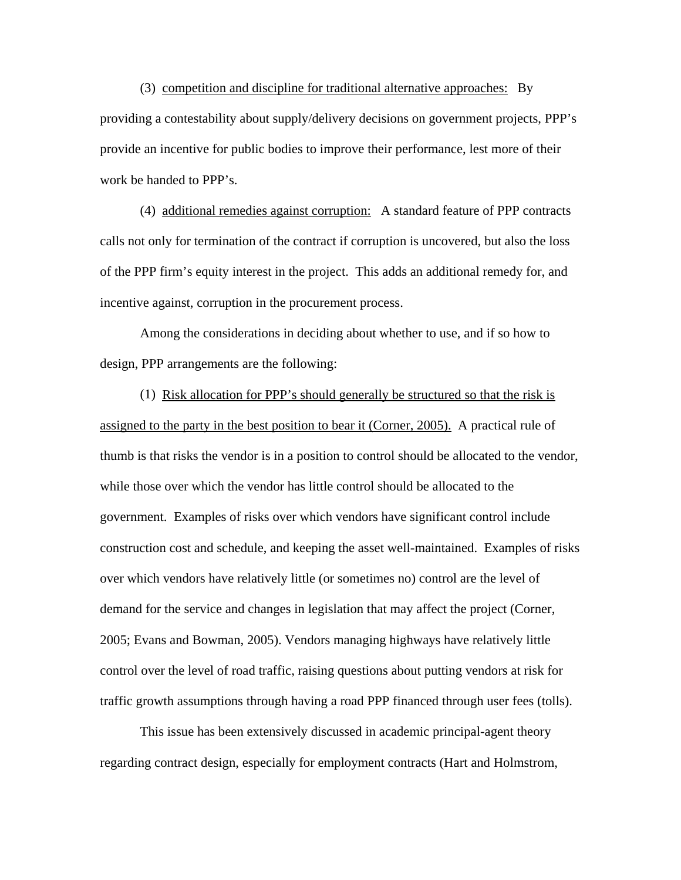(3) competition and discipline for traditional alternative approaches: By providing a contestability about supply/delivery decisions on government projects, PPP's provide an incentive for public bodies to improve their performance, lest more of their work be handed to PPP's.

(4) additional remedies against corruption: A standard feature of PPP contracts calls not only for termination of the contract if corruption is uncovered, but also the loss of the PPP firm's equity interest in the project. This adds an additional remedy for, and incentive against, corruption in the procurement process.

Among the considerations in deciding about whether to use, and if so how to design, PPP arrangements are the following:

(1) Risk allocation for PPP's should generally be structured so that the risk is assigned to the party in the best position to bear it (Corner, 2005). A practical rule of thumb is that risks the vendor is in a position to control should be allocated to the vendor, while those over which the vendor has little control should be allocated to the government. Examples of risks over which vendors have significant control include construction cost and schedule, and keeping the asset well-maintained. Examples of risks over which vendors have relatively little (or sometimes no) control are the level of demand for the service and changes in legislation that may affect the project (Corner, 2005; Evans and Bowman, 2005). Vendors managing highways have relatively little control over the level of road traffic, raising questions about putting vendors at risk for traffic growth assumptions through having a road PPP financed through user fees (tolls).

This issue has been extensively discussed in academic principal-agent theory regarding contract design, especially for employment contracts (Hart and Holmstrom,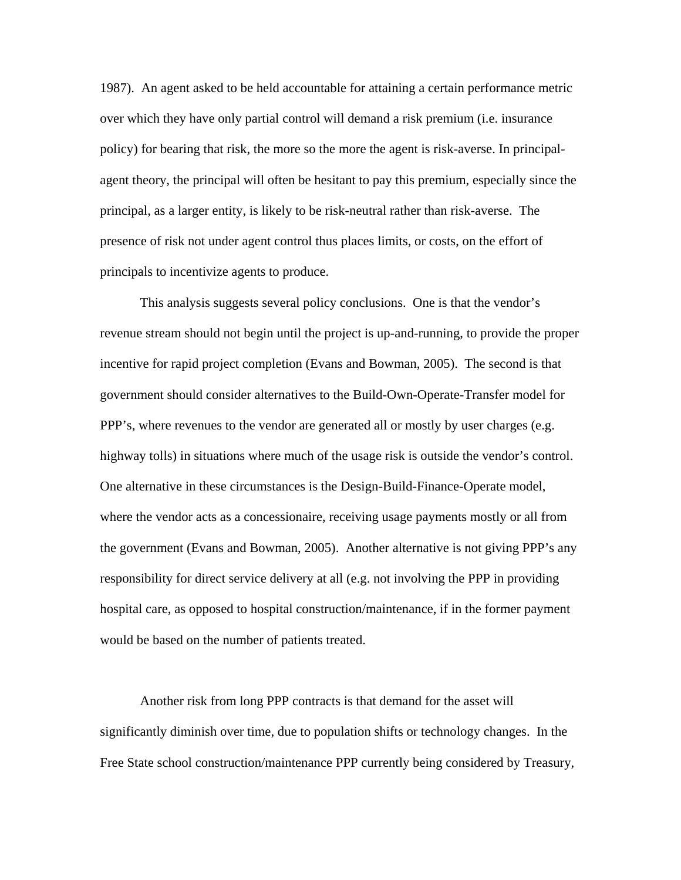1987). An agent asked to be held accountable for attaining a certain performance metric over which they have only partial control will demand a risk premium (i.e. insurance policy) for bearing that risk, the more so the more the agent is risk-averse. In principalagent theory, the principal will often be hesitant to pay this premium, especially since the principal, as a larger entity, is likely to be risk-neutral rather than risk-averse. The presence of risk not under agent control thus places limits, or costs, on the effort of principals to incentivize agents to produce.

This analysis suggests several policy conclusions. One is that the vendor's revenue stream should not begin until the project is up-and-running, to provide the proper incentive for rapid project completion (Evans and Bowman, 2005). The second is that government should consider alternatives to the Build-Own-Operate-Transfer model for PPP's, where revenues to the vendor are generated all or mostly by user charges (e.g. highway tolls) in situations where much of the usage risk is outside the vendor's control. One alternative in these circumstances is the Design-Build-Finance-Operate model, where the vendor acts as a concessionaire, receiving usage payments mostly or all from the government (Evans and Bowman, 2005). Another alternative is not giving PPP's any responsibility for direct service delivery at all (e.g. not involving the PPP in providing hospital care, as opposed to hospital construction/maintenance, if in the former payment would be based on the number of patients treated.

Another risk from long PPP contracts is that demand for the asset will significantly diminish over time, due to population shifts or technology changes. In the Free State school construction/maintenance PPP currently being considered by Treasury,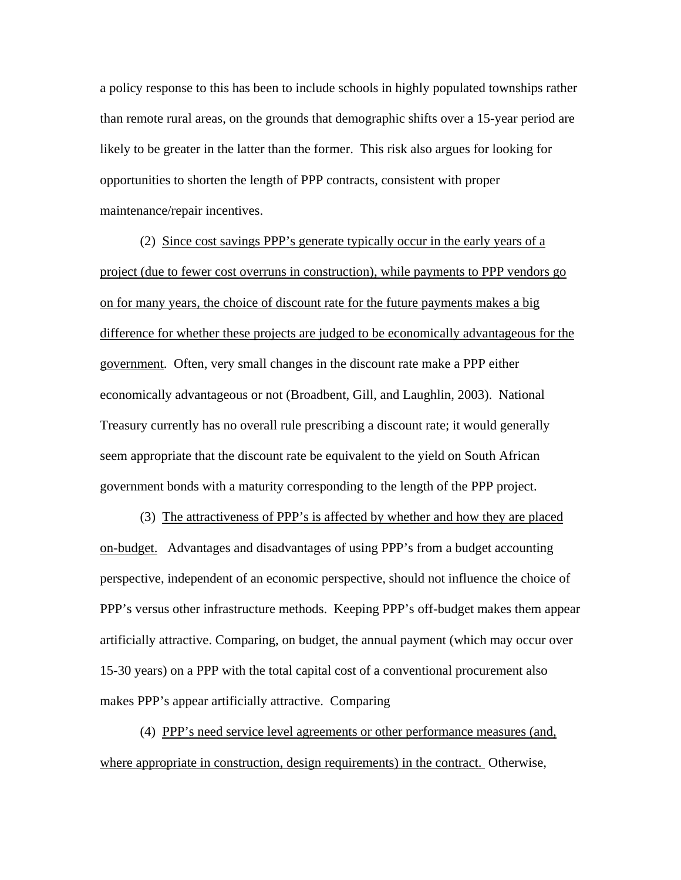a policy response to this has been to include schools in highly populated townships rather than remote rural areas, on the grounds that demographic shifts over a 15-year period are likely to be greater in the latter than the former. This risk also argues for looking for opportunities to shorten the length of PPP contracts, consistent with proper maintenance/repair incentives.

(2) Since cost savings PPP's generate typically occur in the early years of a project (due to fewer cost overruns in construction), while payments to PPP vendors go on for many years, the choice of discount rate for the future payments makes a big difference for whether these projects are judged to be economically advantageous for the government. Often, very small changes in the discount rate make a PPP either economically advantageous or not (Broadbent, Gill, and Laughlin, 2003). National Treasury currently has no overall rule prescribing a discount rate; it would generally seem appropriate that the discount rate be equivalent to the yield on South African government bonds with a maturity corresponding to the length of the PPP project.

(3) The attractiveness of PPP's is affected by whether and how they are placed on-budget. Advantages and disadvantages of using PPP's from a budget accounting perspective, independent of an economic perspective, should not influence the choice of PPP's versus other infrastructure methods. Keeping PPP's off-budget makes them appear artificially attractive. Comparing, on budget, the annual payment (which may occur over 15-30 years) on a PPP with the total capital cost of a conventional procurement also makes PPP's appear artificially attractive. Comparing

(4) PPP's need service level agreements or other performance measures (and, where appropriate in construction, design requirements) in the contract. Otherwise,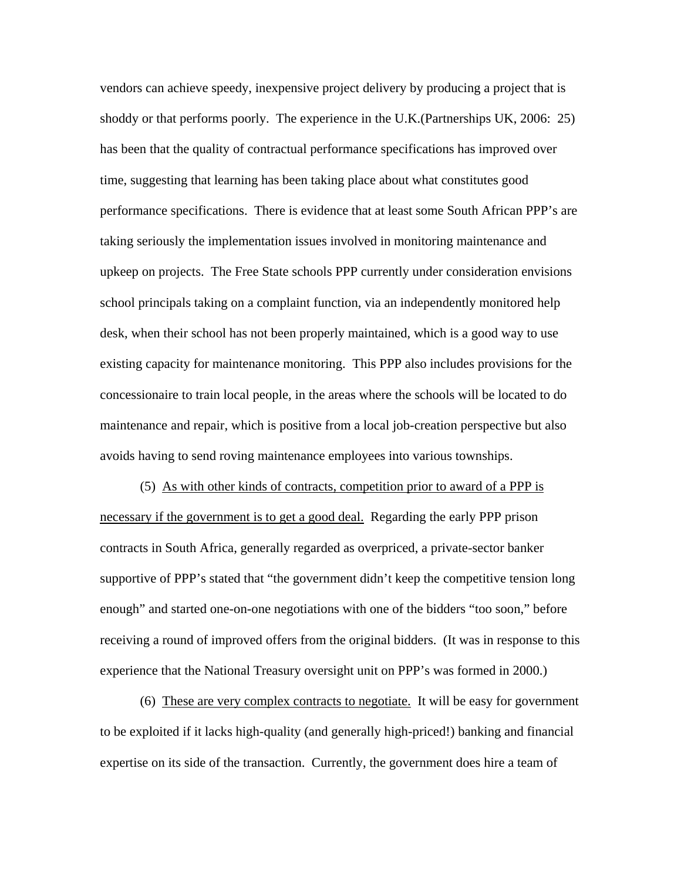vendors can achieve speedy, inexpensive project delivery by producing a project that is shoddy or that performs poorly. The experience in the U.K.(Partnerships UK, 2006: 25) has been that the quality of contractual performance specifications has improved over time, suggesting that learning has been taking place about what constitutes good performance specifications. There is evidence that at least some South African PPP's are taking seriously the implementation issues involved in monitoring maintenance and upkeep on projects. The Free State schools PPP currently under consideration envisions school principals taking on a complaint function, via an independently monitored help desk, when their school has not been properly maintained, which is a good way to use existing capacity for maintenance monitoring. This PPP also includes provisions for the concessionaire to train local people, in the areas where the schools will be located to do maintenance and repair, which is positive from a local job-creation perspective but also avoids having to send roving maintenance employees into various townships.

(5) As with other kinds of contracts, competition prior to award of a PPP is necessary if the government is to get a good deal. Regarding the early PPP prison contracts in South Africa, generally regarded as overpriced, a private-sector banker supportive of PPP's stated that "the government didn't keep the competitive tension long enough" and started one-on-one negotiations with one of the bidders "too soon," before receiving a round of improved offers from the original bidders. (It was in response to this experience that the National Treasury oversight unit on PPP's was formed in 2000.)

(6) These are very complex contracts to negotiate. It will be easy for government to be exploited if it lacks high-quality (and generally high-priced!) banking and financial expertise on its side of the transaction. Currently, the government does hire a team of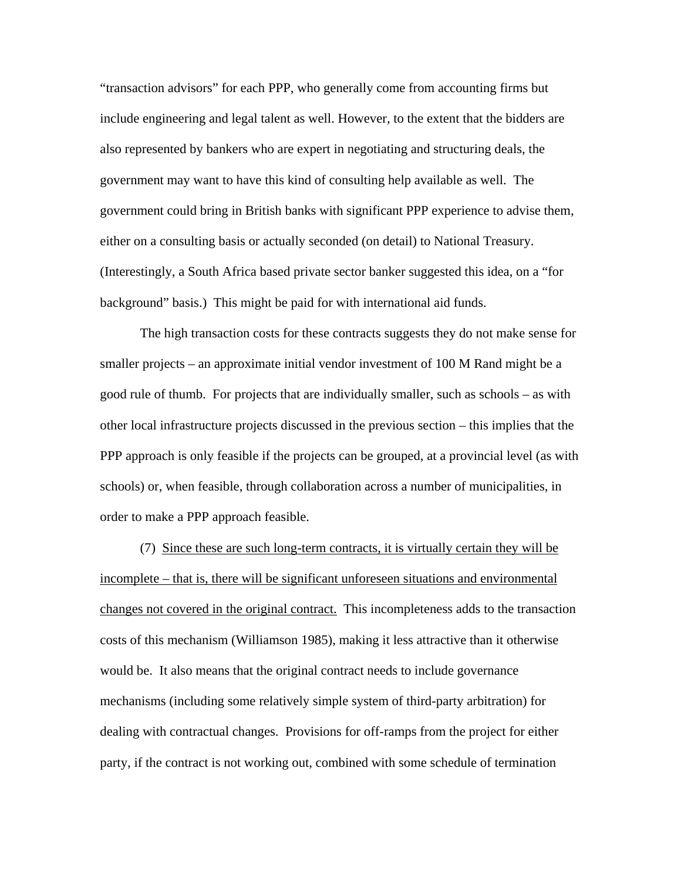"transaction advisors" for each PPP, who generally come from accounting firms but include engineering and legal talent as well. However, to the extent that the bidders are also represented by bankers who are expert in negotiating and structuring deals, the government may want to have this kind of consulting help available as well. The government could bring in British banks with significant PPP experience to advise them, either on a consulting basis or actually seconded (on detail) to National Treasury. (Interestingly, a South Africa based private sector banker suggested this idea, on a "for background" basis.) This might be paid for with international aid funds.

The high transaction costs for these contracts suggests they do not make sense for smaller projects – an approximate initial vendor investment of 100 M Rand might be a good rule of thumb. For projects that are individually smaller, such as schools – as with other local infrastructure projects discussed in the previous section – this implies that the PPP approach is only feasible if the projects can be grouped, at a provincial level (as with schools) or, when feasible, through collaboration across a number of municipalities, in order to make a PPP approach feasible.

(7) Since these are such long-term contracts, it is virtually certain they will be incomplete – that is, there will be significant unforeseen situations and environmental changes not covered in the original contract. This incompleteness adds to the transaction costs of this mechanism (Williamson 1985), making it less attractive than it otherwise would be. It also means that the original contract needs to include governance mechanisms (including some relatively simple system of third-party arbitration) for dealing with contractual changes. Provisions for off-ramps from the project for either party, if the contract is not working out, combined with some schedule of termination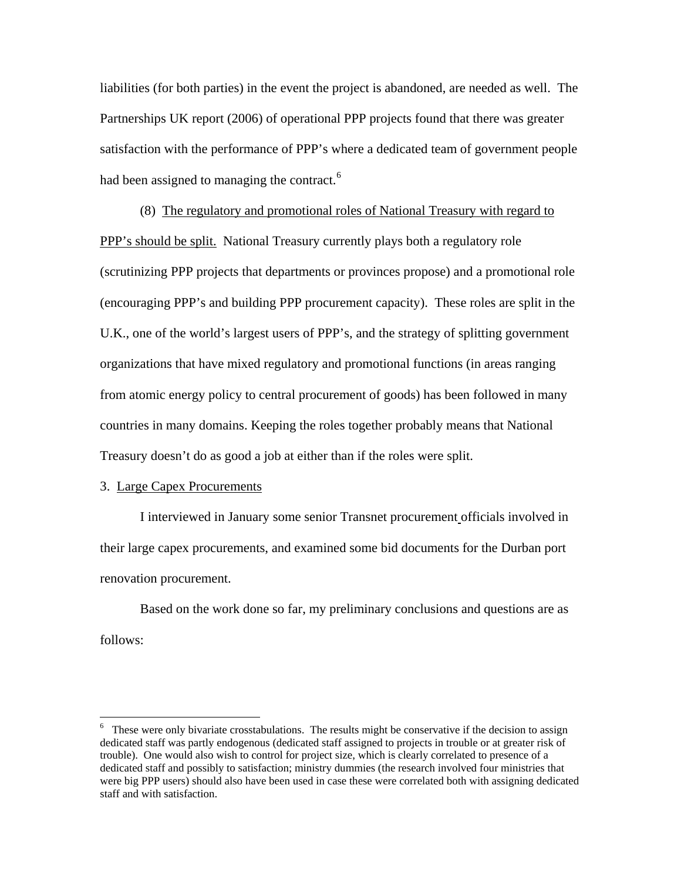liabilities (for both parties) in the event the project is abandoned, are needed as well. The Partnerships UK report (2006) of operational PPP projects found that there was greater satisfaction with the performance of PPP's where a dedicated team of government people had been assigned to managing the contract. $6$ 

(8) The regulatory and promotional roles of National Treasury with regard to PPP's should be split. National Treasury currently plays both a regulatory role (scrutinizing PPP projects that departments or provinces propose) and a promotional role (encouraging PPP's and building PPP procurement capacity). These roles are split in the U.K., one of the world's largest users of PPP's, and the strategy of splitting government organizations that have mixed regulatory and promotional functions (in areas ranging from atomic energy policy to central procurement of goods) has been followed in many countries in many domains. Keeping the roles together probably means that National Treasury doesn't do as good a job at either than if the roles were split.

#### 3. Large Capex Procurements

 $\overline{a}$ 

 I interviewed in January some senior Transnet procurement officials involved in their large capex procurements, and examined some bid documents for the Durban port renovation procurement.

 Based on the work done so far, my preliminary conclusions and questions are as follows:

<span id="page-18-0"></span><sup>&</sup>lt;sup>6</sup> These were only bivariate crosstabulations. The results might be conservative if the decision to assign dedicated staff was partly endogenous (dedicated staff assigned to projects in trouble or at greater risk of trouble). One would also wish to control for project size, which is clearly correlated to presence of a dedicated staff and possibly to satisfaction; ministry dummies (the research involved four ministries that were big PPP users) should also have been used in case these were correlated both with assigning dedicated staff and with satisfaction.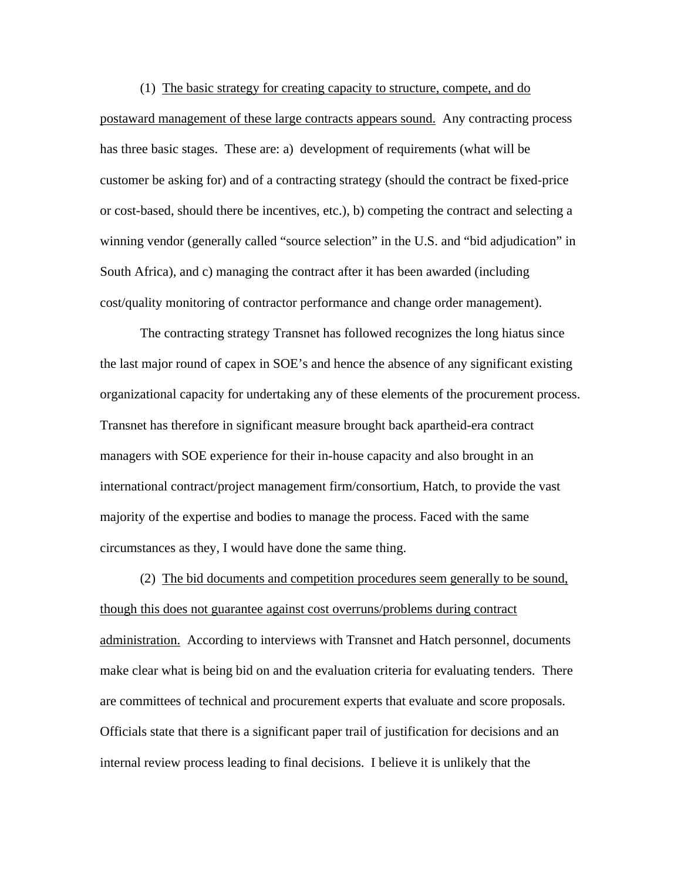(1) The basic strategy for creating capacity to structure, compete, and do postaward management of these large contracts appears sound. Any contracting process has three basic stages. These are: a) development of requirements (what will be customer be asking for) and of a contracting strategy (should the contract be fixed-price or cost-based, should there be incentives, etc.), b) competing the contract and selecting a winning vendor (generally called "source selection" in the U.S. and "bid adjudication" in South Africa), and c) managing the contract after it has been awarded (including cost/quality monitoring of contractor performance and change order management).

The contracting strategy Transnet has followed recognizes the long hiatus since the last major round of capex in SOE's and hence the absence of any significant existing organizational capacity for undertaking any of these elements of the procurement process. Transnet has therefore in significant measure brought back apartheid-era contract managers with SOE experience for their in-house capacity and also brought in an international contract/project management firm/consortium, Hatch, to provide the vast majority of the expertise and bodies to manage the process. Faced with the same circumstances as they, I would have done the same thing.

(2) The bid documents and competition procedures seem generally to be sound, though this does not guarantee against cost overruns/problems during contract administration. According to interviews with Transnet and Hatch personnel, documents make clear what is being bid on and the evaluation criteria for evaluating tenders. There are committees of technical and procurement experts that evaluate and score proposals. Officials state that there is a significant paper trail of justification for decisions and an internal review process leading to final decisions. I believe it is unlikely that the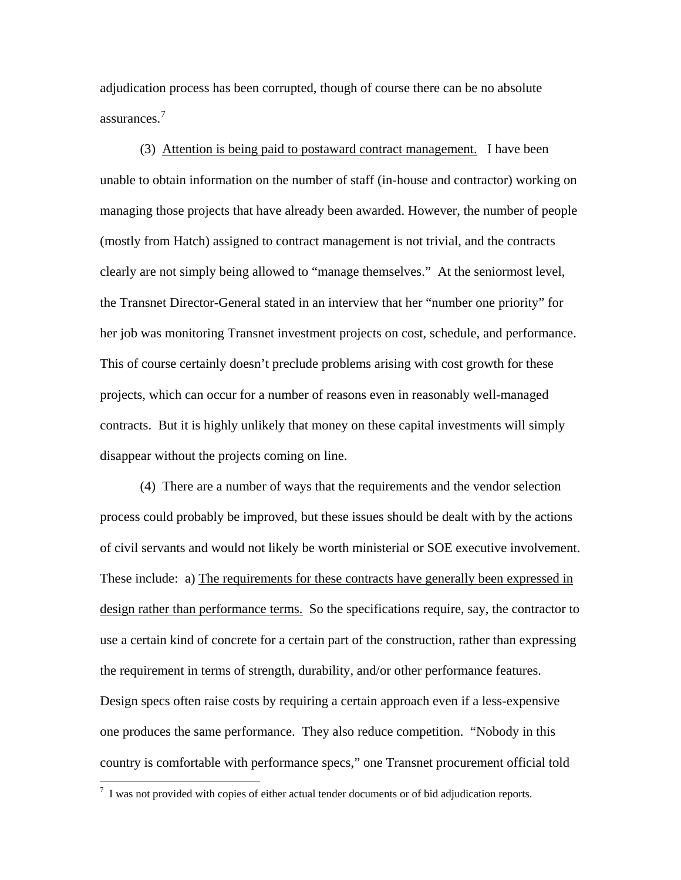adjudication process has been corrupted, though of course there can be no absolute assurances.[7](#page-20-0)

(3) Attention is being paid to postaward contract management. I have been unable to obtain information on the number of staff (in-house and contractor) working on managing those projects that have already been awarded. However, the number of people (mostly from Hatch) assigned to contract management is not trivial, and the contracts clearly are not simply being allowed to "manage themselves." At the seniormost level, the Transnet Director-General stated in an interview that her "number one priority" for her job was monitoring Transnet investment projects on cost, schedule, and performance. This of course certainly doesn't preclude problems arising with cost growth for these projects, which can occur for a number of reasons even in reasonably well-managed contracts. But it is highly unlikely that money on these capital investments will simply disappear without the projects coming on line.

(4) There are a number of ways that the requirements and the vendor selection process could probably be improved, but these issues should be dealt with by the actions of civil servants and would not likely be worth ministerial or SOE executive involvement. These include: a) The requirements for these contracts have generally been expressed in design rather than performance terms. So the specifications require, say, the contractor to use a certain kind of concrete for a certain part of the construction, rather than expressing the requirement in terms of strength, durability, and/or other performance features. Design specs often raise costs by requiring a certain approach even if a less-expensive one produces the same performance. They also reduce competition. "Nobody in this country is comfortable with performance specs," one Transnet procurement official told

<span id="page-20-0"></span> $7\,$  I was not provided with copies of either actual tender documents or of bid adjudication reports.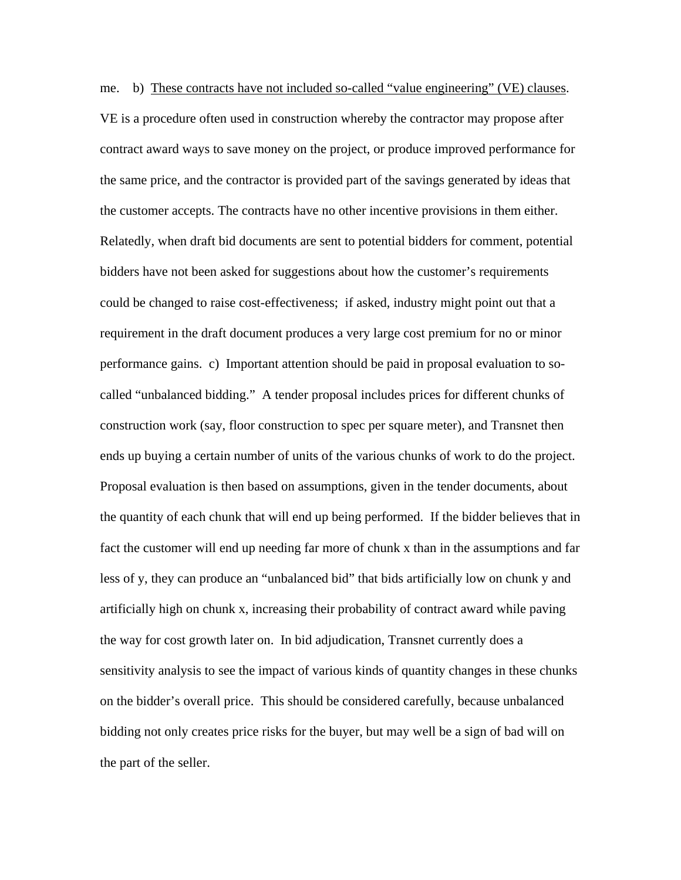me. b) These contracts have not included so-called "value engineering" (VE) clauses. VE is a procedure often used in construction whereby the contractor may propose after contract award ways to save money on the project, or produce improved performance for the same price, and the contractor is provided part of the savings generated by ideas that the customer accepts. The contracts have no other incentive provisions in them either. Relatedly, when draft bid documents are sent to potential bidders for comment, potential bidders have not been asked for suggestions about how the customer's requirements could be changed to raise cost-effectiveness; if asked, industry might point out that a requirement in the draft document produces a very large cost premium for no or minor performance gains. c) Important attention should be paid in proposal evaluation to socalled "unbalanced bidding." A tender proposal includes prices for different chunks of construction work (say, floor construction to spec per square meter), and Transnet then ends up buying a certain number of units of the various chunks of work to do the project. Proposal evaluation is then based on assumptions, given in the tender documents, about the quantity of each chunk that will end up being performed. If the bidder believes that in fact the customer will end up needing far more of chunk x than in the assumptions and far less of y, they can produce an "unbalanced bid" that bids artificially low on chunk y and artificially high on chunk x, increasing their probability of contract award while paving the way for cost growth later on. In bid adjudication, Transnet currently does a sensitivity analysis to see the impact of various kinds of quantity changes in these chunks on the bidder's overall price. This should be considered carefully, because unbalanced bidding not only creates price risks for the buyer, but may well be a sign of bad will on the part of the seller.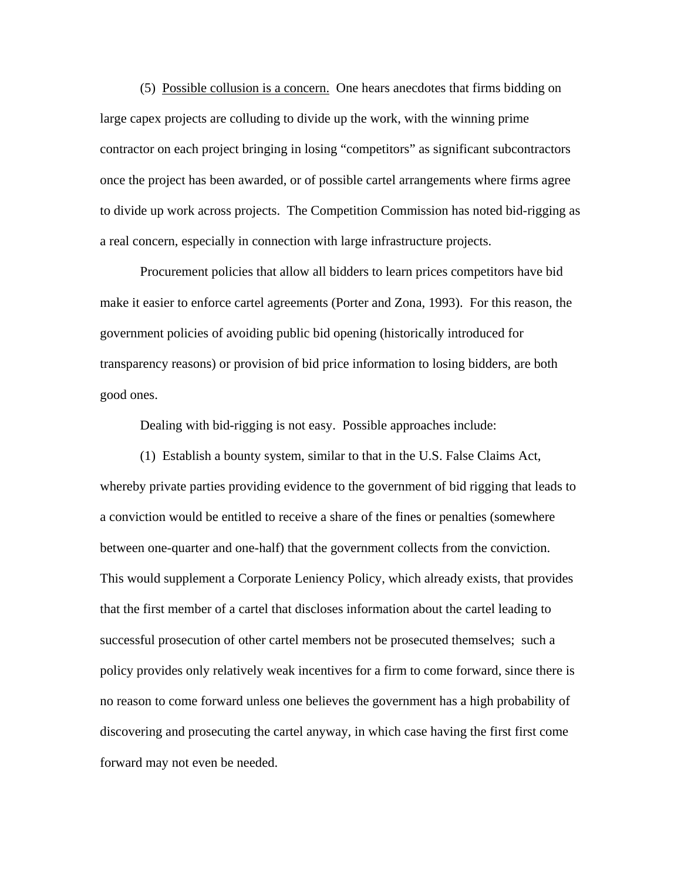(5) Possible collusion is a concern. One hears anecdotes that firms bidding on large capex projects are colluding to divide up the work, with the winning prime contractor on each project bringing in losing "competitors" as significant subcontractors once the project has been awarded, or of possible cartel arrangements where firms agree to divide up work across projects. The Competition Commission has noted bid-rigging as a real concern, especially in connection with large infrastructure projects.

Procurement policies that allow all bidders to learn prices competitors have bid make it easier to enforce cartel agreements (Porter and Zona, 1993). For this reason, the government policies of avoiding public bid opening (historically introduced for transparency reasons) or provision of bid price information to losing bidders, are both good ones.

Dealing with bid-rigging is not easy. Possible approaches include:

(1) Establish a bounty system, similar to that in the U.S. False Claims Act, whereby private parties providing evidence to the government of bid rigging that leads to a conviction would be entitled to receive a share of the fines or penalties (somewhere between one-quarter and one-half) that the government collects from the conviction. This would supplement a Corporate Leniency Policy, which already exists, that provides that the first member of a cartel that discloses information about the cartel leading to successful prosecution of other cartel members not be prosecuted themselves; such a policy provides only relatively weak incentives for a firm to come forward, since there is no reason to come forward unless one believes the government has a high probability of discovering and prosecuting the cartel anyway, in which case having the first first come forward may not even be needed.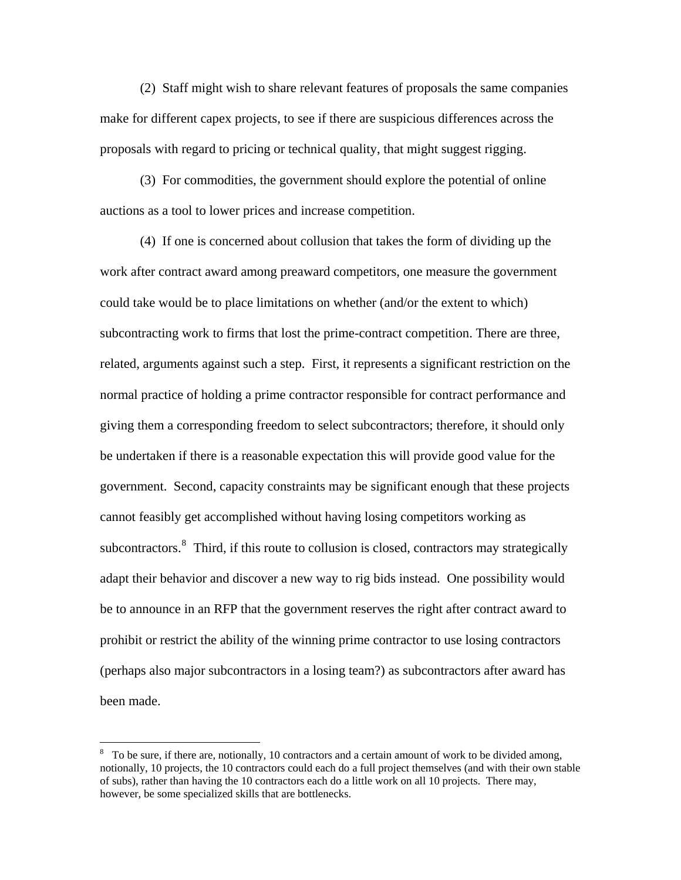(2) Staff might wish to share relevant features of proposals the same companies make for different capex projects, to see if there are suspicious differences across the proposals with regard to pricing or technical quality, that might suggest rigging.

(3) For commodities, the government should explore the potential of online auctions as a tool to lower prices and increase competition.

(4) If one is concerned about collusion that takes the form of dividing up the work after contract award among preaward competitors, one measure the government could take would be to place limitations on whether (and/or the extent to which) subcontracting work to firms that lost the prime-contract competition. There are three, related, arguments against such a step. First, it represents a significant restriction on the normal practice of holding a prime contractor responsible for contract performance and giving them a corresponding freedom to select subcontractors; therefore, it should only be undertaken if there is a reasonable expectation this will provide good value for the government. Second, capacity constraints may be significant enough that these projects cannot feasibly get accomplished without having losing competitors working as subcontractors.<sup>[8](#page-23-0)</sup> Third, if this route to collusion is closed, contractors may strategically adapt their behavior and discover a new way to rig bids instead. One possibility would be to announce in an RFP that the government reserves the right after contract award to prohibit or restrict the ability of the winning prime contractor to use losing contractors (perhaps also major subcontractors in a losing team?) as subcontractors after award has been made.

<span id="page-23-0"></span> $8\degree$  To be sure, if there are, notionally, 10 contractors and a certain amount of work to be divided among, notionally, 10 projects, the 10 contractors could each do a full project themselves (and with their own stable of subs), rather than having the 10 contractors each do a little work on all 10 projects. There may, however, be some specialized skills that are bottlenecks.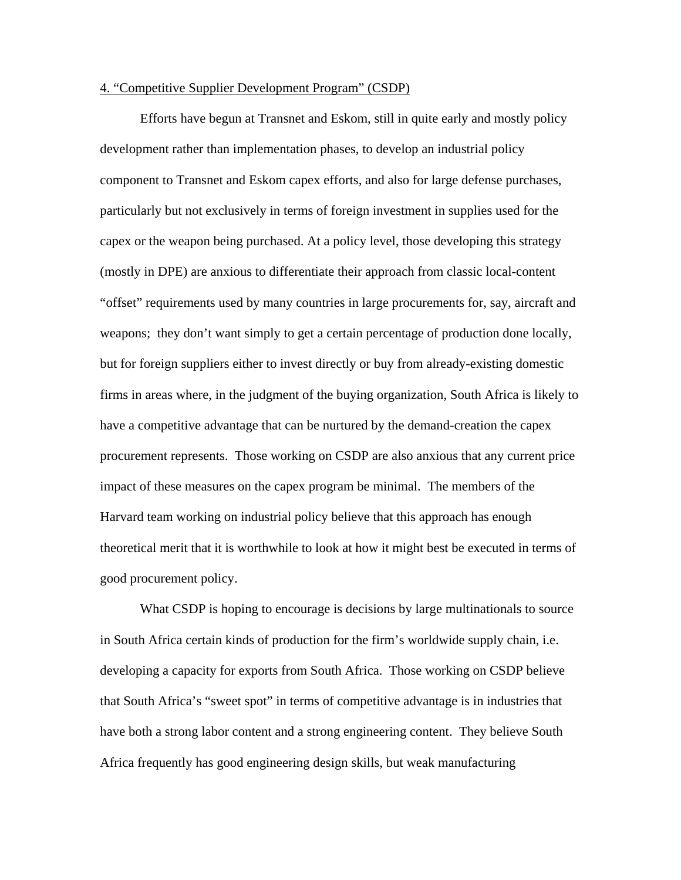# 4. "Competitive Supplier Development Program" (CSDP)

Efforts have begun at Transnet and Eskom, still in quite early and mostly policy development rather than implementation phases, to develop an industrial policy component to Transnet and Eskom capex efforts, and also for large defense purchases, particularly but not exclusively in terms of foreign investment in supplies used for the capex or the weapon being purchased. At a policy level, those developing this strategy (mostly in DPE) are anxious to differentiate their approach from classic local-content "offset" requirements used by many countries in large procurements for, say, aircraft and weapons; they don't want simply to get a certain percentage of production done locally, but for foreign suppliers either to invest directly or buy from already-existing domestic firms in areas where, in the judgment of the buying organization, South Africa is likely to have a competitive advantage that can be nurtured by the demand-creation the capex procurement represents. Those working on CSDP are also anxious that any current price impact of these measures on the capex program be minimal. The members of the Harvard team working on industrial policy believe that this approach has enough theoretical merit that it is worthwhile to look at how it might best be executed in terms of good procurement policy.

What CSDP is hoping to encourage is decisions by large multinationals to source in South Africa certain kinds of production for the firm's worldwide supply chain, i.e. developing a capacity for exports from South Africa. Those working on CSDP believe that South Africa's "sweet spot" in terms of competitive advantage is in industries that have both a strong labor content and a strong engineering content. They believe South Africa frequently has good engineering design skills, but weak manufacturing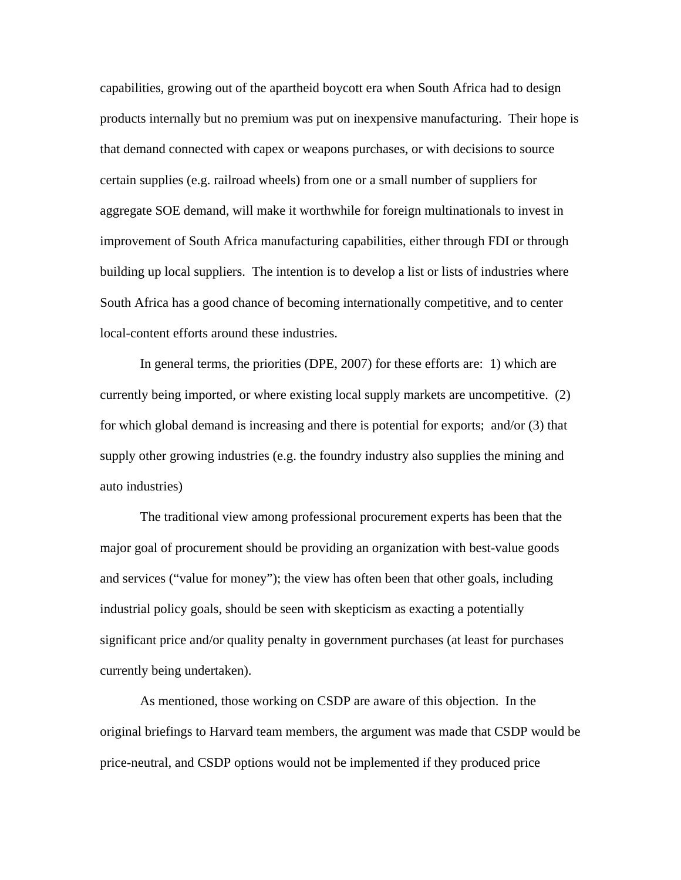capabilities, growing out of the apartheid boycott era when South Africa had to design products internally but no premium was put on inexpensive manufacturing. Their hope is that demand connected with capex or weapons purchases, or with decisions to source certain supplies (e.g. railroad wheels) from one or a small number of suppliers for aggregate SOE demand, will make it worthwhile for foreign multinationals to invest in improvement of South Africa manufacturing capabilities, either through FDI or through building up local suppliers. The intention is to develop a list or lists of industries where South Africa has a good chance of becoming internationally competitive, and to center local-content efforts around these industries.

In general terms, the priorities (DPE, 2007) for these efforts are: 1) which are currently being imported, or where existing local supply markets are uncompetitive. (2) for which global demand is increasing and there is potential for exports; and/or (3) that supply other growing industries (e.g. the foundry industry also supplies the mining and auto industries)

The traditional view among professional procurement experts has been that the major goal of procurement should be providing an organization with best-value goods and services ("value for money"); the view has often been that other goals, including industrial policy goals, should be seen with skepticism as exacting a potentially significant price and/or quality penalty in government purchases (at least for purchases currently being undertaken).

As mentioned, those working on CSDP are aware of this objection. In the original briefings to Harvard team members, the argument was made that CSDP would be price-neutral, and CSDP options would not be implemented if they produced price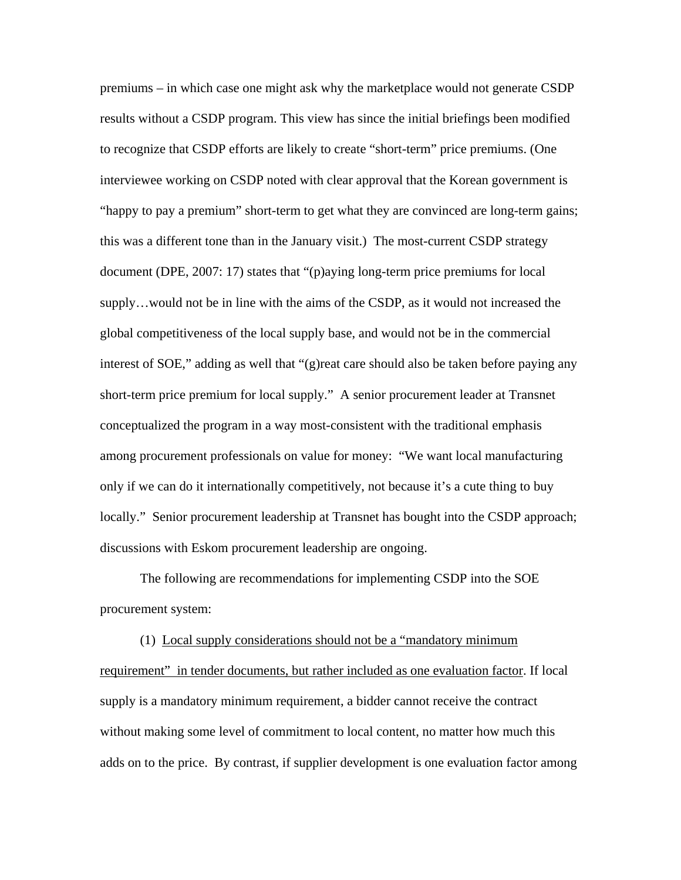premiums – in which case one might ask why the marketplace would not generate CSDP results without a CSDP program. This view has since the initial briefings been modified to recognize that CSDP efforts are likely to create "short-term" price premiums. (One interviewee working on CSDP noted with clear approval that the Korean government is "happy to pay a premium" short-term to get what they are convinced are long-term gains; this was a different tone than in the January visit.) The most-current CSDP strategy document (DPE, 2007: 17) states that "(p)aying long-term price premiums for local supply…would not be in line with the aims of the CSDP, as it would not increased the global competitiveness of the local supply base, and would not be in the commercial interest of SOE," adding as well that "(g)reat care should also be taken before paying any short-term price premium for local supply." A senior procurement leader at Transnet conceptualized the program in a way most-consistent with the traditional emphasis among procurement professionals on value for money: "We want local manufacturing only if we can do it internationally competitively, not because it's a cute thing to buy locally." Senior procurement leadership at Transnet has bought into the CSDP approach; discussions with Eskom procurement leadership are ongoing.

The following are recommendations for implementing CSDP into the SOE procurement system:

(1) Local supply considerations should not be a "mandatory minimum requirement" in tender documents, but rather included as one evaluation factor. If local supply is a mandatory minimum requirement, a bidder cannot receive the contract without making some level of commitment to local content, no matter how much this adds on to the price. By contrast, if supplier development is one evaluation factor among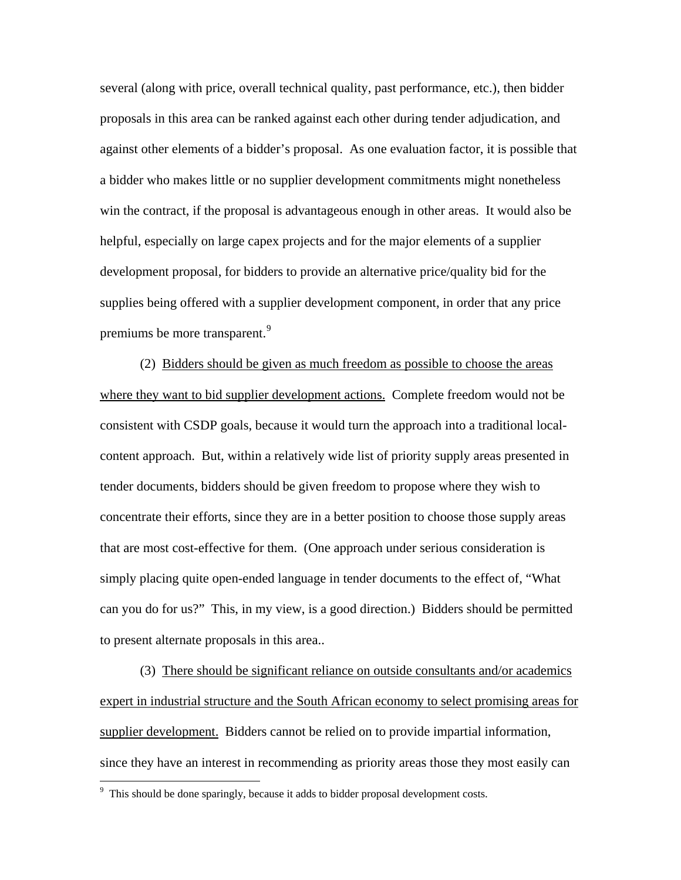several (along with price, overall technical quality, past performance, etc.), then bidder proposals in this area can be ranked against each other during tender adjudication, and against other elements of a bidder's proposal. As one evaluation factor, it is possible that a bidder who makes little or no supplier development commitments might nonetheless win the contract, if the proposal is advantageous enough in other areas. It would also be helpful, especially on large capex projects and for the major elements of a supplier development proposal, for bidders to provide an alternative price/quality bid for the supplies being offered with a supplier development component, in order that any price premiums be more transparent.<sup>[9](#page-27-0)</sup>

(2) Bidders should be given as much freedom as possible to choose the areas where they want to bid supplier development actions. Complete freedom would not be consistent with CSDP goals, because it would turn the approach into a traditional localcontent approach. But, within a relatively wide list of priority supply areas presented in tender documents, bidders should be given freedom to propose where they wish to concentrate their efforts, since they are in a better position to choose those supply areas that are most cost-effective for them. (One approach under serious consideration is simply placing quite open-ended language in tender documents to the effect of, "What can you do for us?" This, in my view, is a good direction.) Bidders should be permitted to present alternate proposals in this area..

(3) There should be significant reliance on outside consultants and/or academics expert in industrial structure and the South African economy to select promising areas for supplier development. Bidders cannot be relied on to provide impartial information, since they have an interest in recommending as priority areas those they most easily can

<span id="page-27-0"></span> $9$  This should be done sparingly, because it adds to bidder proposal development costs.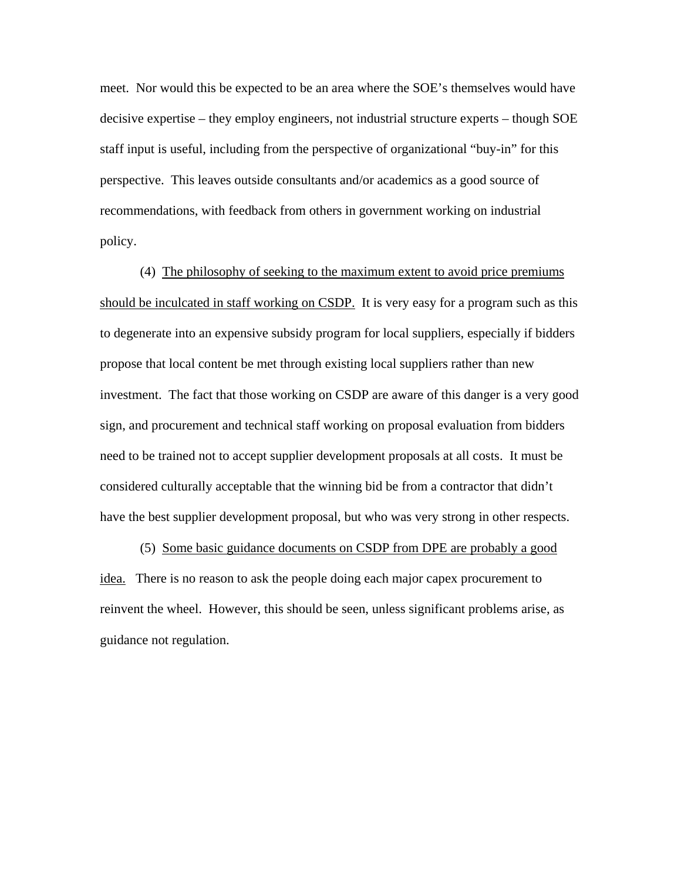meet. Nor would this be expected to be an area where the SOE's themselves would have decisive expertise – they employ engineers, not industrial structure experts – though SOE staff input is useful, including from the perspective of organizational "buy-in" for this perspective. This leaves outside consultants and/or academics as a good source of recommendations, with feedback from others in government working on industrial policy.

(4) The philosophy of seeking to the maximum extent to avoid price premiums should be inculcated in staff working on CSDP. It is very easy for a program such as this to degenerate into an expensive subsidy program for local suppliers, especially if bidders propose that local content be met through existing local suppliers rather than new investment. The fact that those working on CSDP are aware of this danger is a very good sign, and procurement and technical staff working on proposal evaluation from bidders need to be trained not to accept supplier development proposals at all costs. It must be considered culturally acceptable that the winning bid be from a contractor that didn't have the best supplier development proposal, but who was very strong in other respects.

(5) Some basic guidance documents on CSDP from DPE are probably a good idea. There is no reason to ask the people doing each major capex procurement to reinvent the wheel. However, this should be seen, unless significant problems arise, as guidance not regulation.